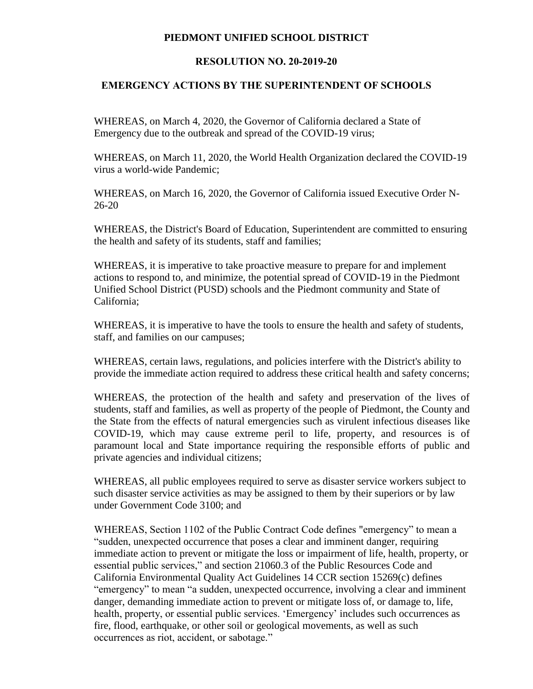## **PIEDMONT UNIFIED SCHOOL DISTRICT**

## **RESOLUTION NO. 20-2019-20**

## **EMERGENCY ACTIONS BY THE SUPERINTENDENT OF SCHOOLS**

WHEREAS, on March 4, 2020, the Governor of California declared a State of Emergency due to the outbreak and spread of the COVID-19 virus;

WHEREAS, on March 11, 2020, the World Health Organization declared the COVID-19 virus a world-wide Pandemic;

WHEREAS, on March 16, 2020, the Governor of California issued Executive Order N-26-20

WHEREAS, the District's Board of Education, Superintendent are committed to ensuring the health and safety of its students, staff and families;

WHEREAS, it is imperative to take proactive measure to prepare for and implement actions to respond to, and minimize, the potential spread of COVID-19 in the Piedmont Unified School District (PUSD) schools and the Piedmont community and State of California;

WHEREAS, it is imperative to have the tools to ensure the health and safety of students, staff, and families on our campuses;

WHEREAS, certain laws, regulations, and policies interfere with the District's ability to provide the immediate action required to address these critical health and safety concerns;

WHEREAS, the protection of the health and safety and preservation of the lives of students, staff and families, as well as property of the people of Piedmont, the County and the State from the effects of natural emergencies such as virulent infectious diseases like COVID-19, which may cause extreme peril to life, property, and resources is of paramount local and State importance requiring the responsible efforts of public and private agencies and individual citizens;

WHEREAS, all public employees required to serve as disaster service workers subject to such disaster service activities as may be assigned to them by their superiors or by law under Government Code 3100; and

WHEREAS, Section 1102 of the Public Contract Code defines "emergency" to mean a "sudden, unexpected occurrence that poses a clear and imminent danger, requiring immediate action to prevent or mitigate the loss or impairment of life, health, property, or essential public services," and section 21060.3 of the Public Resources Code and California Environmental Quality Act Guidelines 14 CCR section 15269(c) defines "emergency" to mean "a sudden, unexpected occurrence, involving a clear and imminent danger, demanding immediate action to prevent or mitigate loss of, or damage to, life, health, property, or essential public services. 'Emergency' includes such occurrences as fire, flood, earthquake, or other soil or geological movements, as well as such occurrences as riot, accident, or sabotage."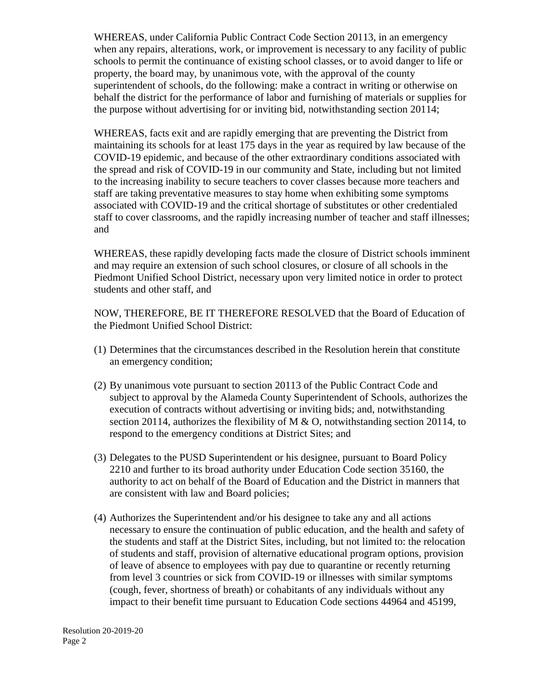WHEREAS, under California Public Contract Code Section 20113, in an emergency when any repairs, alterations, work, or improvement is necessary to any facility of public schools to permit the continuance of existing school classes, or to avoid danger to life or property, the board may, by unanimous vote, with the approval of the county superintendent of schools, do the following: make a contract in writing or otherwise on behalf the district for the performance of labor and furnishing of materials or supplies for the purpose without advertising for or inviting bid, notwithstanding section 20114;

WHEREAS, facts exit and are rapidly emerging that are preventing the District from maintaining its schools for at least 175 days in the year as required by law because of the COVID-19 epidemic, and because of the other extraordinary conditions associated with the spread and risk of COVID-19 in our community and State, including but not limited to the increasing inability to secure teachers to cover classes because more teachers and staff are taking preventative measures to stay home when exhibiting some symptoms associated with COVID-19 and the critical shortage of substitutes or other credentialed staff to cover classrooms, and the rapidly increasing number of teacher and staff illnesses; and

WHEREAS, these rapidly developing facts made the closure of District schools imminent and may require an extension of such school closures, or closure of all schools in the Piedmont Unified School District, necessary upon very limited notice in order to protect students and other staff, and

NOW, THEREFORE, BE IT THEREFORE RESOLVED that the Board of Education of the Piedmont Unified School District:

- (1) Determines that the circumstances described in the Resolution herein that constitute an emergency condition;
- (2) By unanimous vote pursuant to section 20113 of the Public Contract Code and subject to approval by the Alameda County Superintendent of Schools, authorizes the execution of contracts without advertising or inviting bids; and, notwithstanding section 20114, authorizes the flexibility of M & O, notwithstanding section 20114, to respond to the emergency conditions at District Sites; and
- (3) Delegates to the PUSD Superintendent or his designee, pursuant to Board Policy 2210 and further to its broad authority under Education Code section 35160, the authority to act on behalf of the Board of Education and the District in manners that are consistent with law and Board policies;
- (4) Authorizes the Superintendent and/or his designee to take any and all actions necessary to ensure the continuation of public education, and the health and safety of the students and staff at the District Sites, including, but not limited to: the relocation of students and staff, provision of alternative educational program options, provision of leave of absence to employees with pay due to quarantine or recently returning from level 3 countries or sick from COVID-19 or illnesses with similar symptoms (cough, fever, shortness of breath) or cohabitants of any individuals without any impact to their benefit time pursuant to Education Code sections 44964 and 45199,